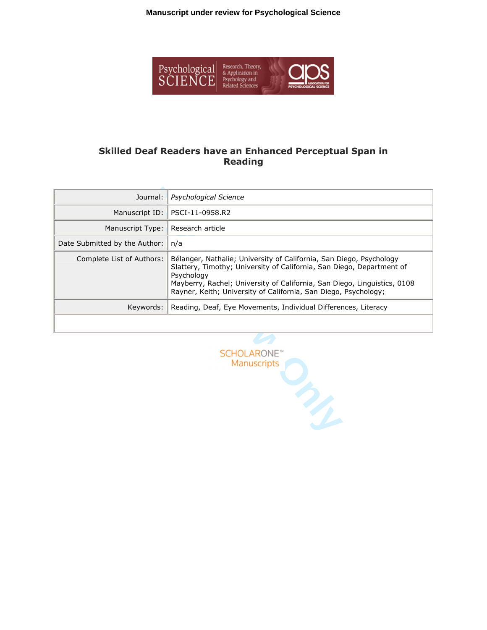**Manuscript under review for Psychological Science**



# **Skilled Deaf Readers have an Enhanced Perceptual Span in Reading**

| Journal:                      | <b>Psychological Science</b>                                                                                                                                                                                                                                                                              |  |
|-------------------------------|-----------------------------------------------------------------------------------------------------------------------------------------------------------------------------------------------------------------------------------------------------------------------------------------------------------|--|
| Manuscript ID:                | PSCI-11-0958.R2                                                                                                                                                                                                                                                                                           |  |
| Manuscript Type:              | Research article                                                                                                                                                                                                                                                                                          |  |
| Date Submitted by the Author: | n/a                                                                                                                                                                                                                                                                                                       |  |
| Complete List of Authors:     | Bélanger, Nathalie; University of California, San Diego, Psychology<br>Slattery, Timothy; University of California, San Diego, Department of<br>Psychology<br>Mayberry, Rachel; University of California, San Diego, Linguistics, 0108<br>Rayner, Keith; University of California, San Diego, Psychology; |  |
| Keywords:                     | Reading, Deaf, Eye Movements, Individual Differences, Literacy                                                                                                                                                                                                                                            |  |
|                               |                                                                                                                                                                                                                                                                                                           |  |
|                               |                                                                                                                                                                                                                                                                                                           |  |
|                               | <b>SCHOLARONE™</b><br><b>Manuscripts</b>                                                                                                                                                                                                                                                                  |  |

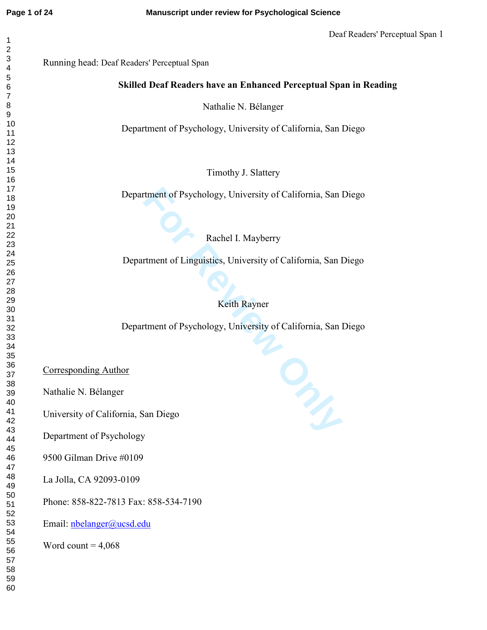**Skilled Deaf Readers have an Enhanced Perceptual Span in Reading** 

Nathalie N. Bélanger

Department of Psychology, University of California, San Diego

Timothy J. Slattery

Department of Psychology, University of California, San Diego

Rachel I. Mayberry

Department of Linguistics, University of California, San Diego

Keith Rayner

Department of Psychology, University of California, San Diego

 $\mathbf{1}$   $\overline{2}$ Running head: Deaf Readers' Perceptual Span  $\overline{7}$  Corresponding Author Nathalie N. Bélanger University of California, San Diego Department of Psychology 9500 Gilman Drive #0109 La Jolla, CA 92093-0109 Phone: 858-822-7813 Fax: 858-534-7190 Email: nbelanger@ucsd.edu Word count  $= 4,068$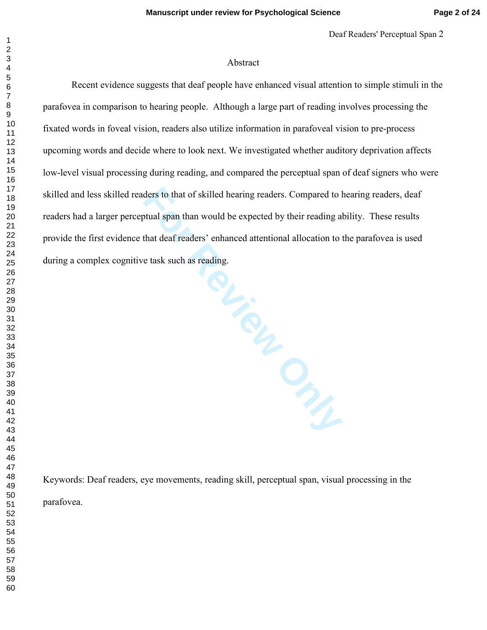## Abstract

Recent evidence suggests that deaf people have enhanced visual attention to simple stimuli in the parafovea in comparison to hearing people. Although a large part of reading involves processing the fixated words in foveal vision, readers also utilize information in parafoveal vision to pre-process upcoming words and decide where to look next. We investigated whether auditory deprivation affects low-level visual processing during reading, and compared the perceptual span of deaf signers who were skilled and less skilled readers to that of skilled hearing readers. Compared to hearing readers, deaf readers had a larger perceptual span than would be expected by their reading ability. These results provide the first evidence that deaf readers' enhanced attentional allocation to the parafovea is used during a complex cognitive task such as reading.

Hasimon Clay Clay

Keywords: Deaf readers, eye movements, reading skill, perceptual span, visual processing in the parafovea.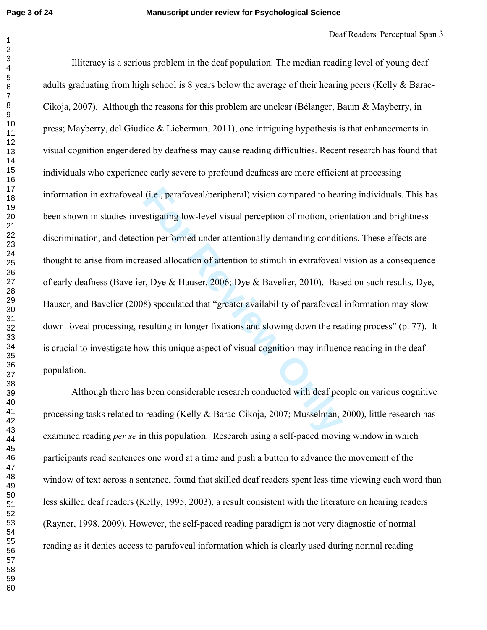(i.e., parafoveal/peripheral) vision compared to hear<br>estigating low-level visual perception of motion, ories<br>ion performed under attentionally demanding conditi<br>eased allocation of attention to stimuli in extrafoveal<br>r, D Illiteracy is a serious problem in the deaf population. The median reading level of young deaf adults graduating from high school is 8 years below the average of their hearing peers (Kelly & Barac-Cikoja, 2007). Although the reasons for this problem are unclear (Bélanger, Baum & Mayberry, in press; Mayberry, del Giudice & Lieberman, 2011), one intriguing hypothesis is that enhancements in visual cognition engendered by deafness may cause reading difficulties. Recent research has found that individuals who experience early severe to profound deafness are more efficient at processing information in extrafoveal (i.e., parafoveal/peripheral) vision compared to hearing individuals. This has been shown in studies investigating low-level visual perception of motion, orientation and brightness discrimination, and detection performed under attentionally demanding conditions. These effects are thought to arise from increased allocation of attention to stimuli in extrafoveal vision as a consequence of early deafness (Bavelier, Dye & Hauser, 2006; Dye & Bavelier, 2010). Based on such results, Dye, Hauser, and Bavelier (2008) speculated that "greater availability of parafoveal information may slow down foveal processing, resulting in longer fixations and slowing down the reading process" (p. 77). It is crucial to investigate how this unique aspect of visual cognition may influence reading in the deaf population.

Although there has been considerable research conducted with deaf people on various cognitive processing tasks related to reading (Kelly & Barac-Cikoja, 2007; Musselman, 2000), little research has examined reading *per se* in this population. Research using a self-paced moving window in which participants read sentences one word at a time and push a button to advance the movement of the window of text across a sentence, found that skilled deaf readers spent less time viewing each word than less skilled deaf readers (Kelly, 1995, 2003), a result consistent with the literature on hearing readers (Rayner, 1998, 2009). However, the self-paced reading paradigm is not very diagnostic of normal reading as it denies access to parafoveal information which is clearly used during normal reading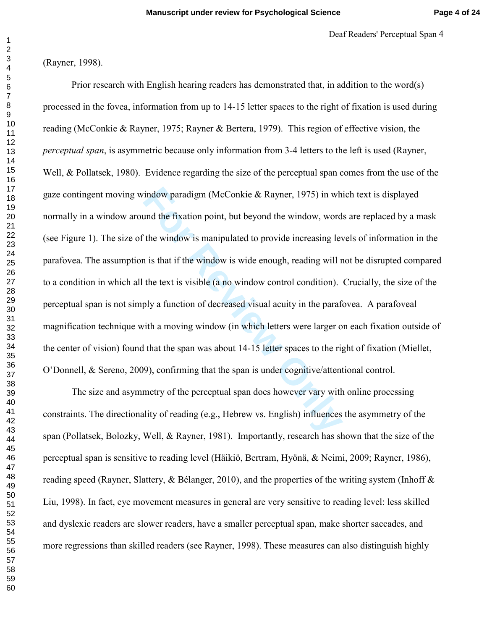Deaf Readers' Perceptual Span 4

 $\mathbf 1$ 

(Rayner, 1998).

indow paradigm (McConkie & Rayner, 1975) in wh<br>
und the fixation point, but beyond the window, word<br>
the window is manipulated to provide increasing lev<br>
1 is that if the window is wide enough, reading will r<br>
the text is Prior research with English hearing readers has demonstrated that, in addition to the word(s) processed in the fovea, information from up to 14-15 letter spaces to the right of fixation is used during reading (McConkie & Rayner, 1975; Rayner & Bertera, 1979). This region of effective vision, the *perceptual span*, is asymmetric because only information from 3-4 letters to the left is used (Rayner, Well, & Pollatsek, 1980). Evidence regarding the size of the perceptual span comes from the use of the gaze contingent moving window paradigm (McConkie & Rayner, 1975) in which text is displayed normally in a window around the fixation point, but beyond the window, words are replaced by a mask (see Figure 1). The size of the window is manipulated to provide increasing levels of information in the parafovea. The assumption is that if the window is wide enough, reading will not be disrupted compared to a condition in which all the text is visible (a no window control condition). Crucially, the size of the perceptual span is not simply a function of decreased visual acuity in the parafovea. A parafoveal magnification technique with a moving window (in which letters were larger on each fixation outside of the center of vision) found that the span was about 14-15 letter spaces to the right of fixation (Miellet, O'Donnell, & Sereno, 2009), confirming that the span is under cognitive/attentional control.

The size and asymmetry of the perceptual span does however vary with online processing constraints. The directionality of reading (e.g., Hebrew vs. English) influences the asymmetry of the span (Pollatsek, Bolozky, Well, & Rayner, 1981). Importantly, research has shown that the size of the perceptual span is sensitive to reading level (Häikiö, Bertram, Hyönä, & Neimi, 2009; Rayner, 1986), reading speed (Rayner, Slattery, & Bélanger, 2010), and the properties of the writing system (Inhoff & Liu, 1998). In fact, eye movement measures in general are very sensitive to reading level: less skilled and dyslexic readers are slower readers, have a smaller perceptual span, make shorter saccades, and more regressions than skilled readers (see Rayner, 1998). These measures can also distinguish highly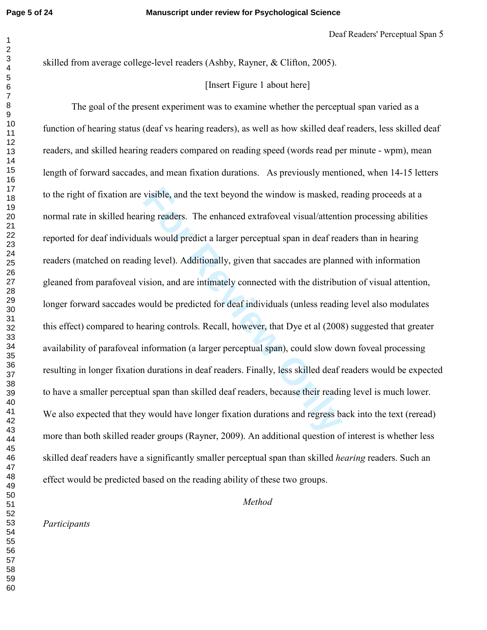skilled from average college-level readers (Ashby, Rayner, & Clifton, 2005).

# [Insert Figure 1 about here]

visible, and the text beyond the window is masked, 1<br>ing readers. The enhanced extrafoveal visual/attenti<br>als would predict a larger perceptual span in deaf rea<br>ng level). Additionally, given that saccades are planr<br>ision, The goal of the present experiment was to examine whether the perceptual span varied as a function of hearing status (deaf vs hearing readers), as well as how skilled deaf readers, less skilled deaf readers, and skilled hearing readers compared on reading speed (words read per minute - wpm), mean length of forward saccades, and mean fixation durations. As previously mentioned, when 14-15 letters to the right of fixation are visible, and the text beyond the window is masked, reading proceeds at a normal rate in skilled hearing readers. The enhanced extrafoveal visual/attention processing abilities reported for deaf individuals would predict a larger perceptual span in deaf readers than in hearing readers (matched on reading level). Additionally, given that saccades are planned with information gleaned from parafoveal vision, and are intimately connected with the distribution of visual attention, longer forward saccades would be predicted for deaf individuals (unless reading level also modulates this effect) compared to hearing controls. Recall, however, that Dye et al (2008) suggested that greater availability of parafoveal information (a larger perceptual span), could slow down foveal processing resulting in longer fixation durations in deaf readers. Finally, less skilled deaf readers would be expected to have a smaller perceptual span than skilled deaf readers, because their reading level is much lower. We also expected that they would have longer fixation durations and regress back into the text (reread) more than both skilled reader groups (Rayner, 2009). An additional question of interest is whether less skilled deaf readers have a significantly smaller perceptual span than skilled *hearing* readers. Such an effect would be predicted based on the reading ability of these two groups.

*Method* 

*Participants*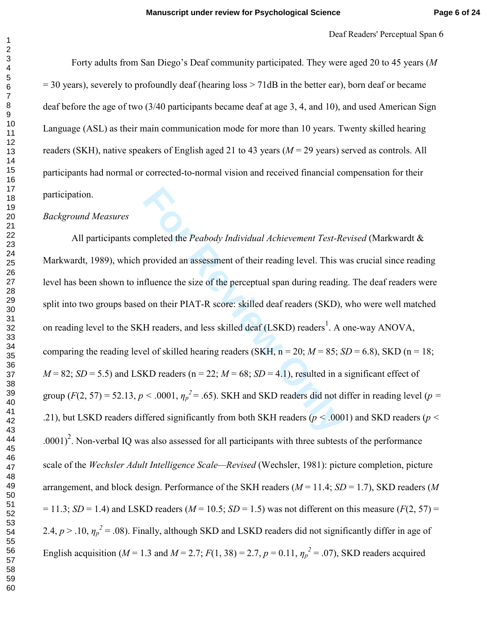Deaf Readers' Perceptual Span 6

Forty adults from San Diego's Deaf community participated. They were aged 20 to 45 years (*M* = 30 years), severely to profoundly deaf (hearing loss > 71dB in the better ear), born deaf or became deaf before the age of two (3/40 participants became deaf at age 3, 4, and 10), and used American Sign Language (ASL) as their main communication mode for more than 10 years. Twenty skilled hearing readers (SKH), native speakers of English aged 21 to 43 years (*M* = 29 years) served as controls. All participants had normal or corrected-to-normal vision and received financial compensation for their participation.

# *Background Measures*

mpleted the *Peabody Individual Achievement Test-R*<br>provided an assessment of their reading level. This v<br>fluence the size of the perceptual span during readin<br>d on their PIAT-R score: skilled deaf readers (SKD),<br>H reader All participants completed the *Peabody Individual Achievement Test-Revised* (Markwardt & Markwardt, 1989), which provided an assessment of their reading level. This was crucial since reading level has been shown to influence the size of the perceptual span during reading. The deaf readers were split into two groups based on their PIAT-R score: skilled deaf readers (SKD), who were well matched on reading level to the SKH readers, and less skilled deaf (LSKD) readers<sup>1</sup>. A one-way ANOVA, comparing the reading level of skilled hearing readers (SKH,  $n = 20$ ;  $M = 85$ ;  $SD = 6.8$ ), SKD ( $n = 18$ ;  $M = 82$ ; *SD* = 5.5) and LSKD readers (n = 22;  $M = 68$ ; *SD* = 4.1), resulted in a significant effect of group  $(F(2, 57) = 52.13, p < .0001, \eta_p^2 = .65)$ . SKH and SKD readers did not differ in reading level ( $p =$ .21), but LSKD readers differed significantly from both SKH readers (*p <* .0001) and SKD readers (*p <*   $(0.001)^2$ . Non-verbal IQ was also assessed for all participants with three subtests of the performance scale of the *Wechsler Adult Intelligence Scale—Revised* (Wechsler, 1981): picture completion, picture arrangement, and block design. Performance of the SKH readers (*M* = 11.4; *SD* = 1.7), SKD readers (*M*  $= 11.3$ ; *SD* = 1.4) and LSKD readers (*M* = 10.5; *SD* = 1.5) was not different on this measure (*F*(2, 57) = 2.4,  $p > 0.10$ ,  $\eta_p^2 = 0.08$ ). Finally, although SKD and LSKD readers did not significantly differ in age of English acquisition ( $M = 1.3$  and  $M = 2.7$ ;  $F(1, 38) = 2.7$ ,  $p = 0.11$ ,  $\eta_p^2 = .07$ ), SKD readers acquired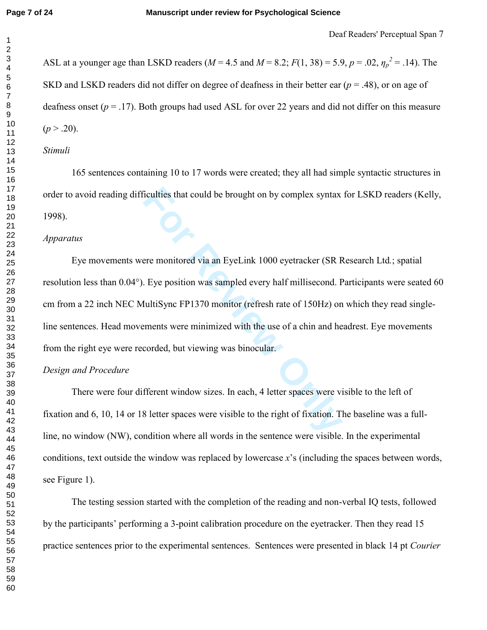ASL at a younger age than LSKD readers ( $M = 4.5$  and  $M = 8.2$ ;  $F(1, 38) = 5.9$ ,  $p = .02$ ,  $\eta_p^2 = .14$ ). The SKD and LSKD readers did not differ on degree of deafness in their better ear (*p* = .48), or on age of deafness onset (*p* = .17). Both groups had used ASL for over 22 years and did not differ on this measure (*p* > .20).

## *Stimuli*

165 sentences containing 10 to 17 words were created; they all had simple syntactic structures in order to avoid reading difficulties that could be brought on by complex syntax for LSKD readers (Kelly, 1998).

# *Apparatus*

Fourties that could be brought on by complex syntax<br>
For Pere monitored via an EyeLink 1000 eyetracker (SR F<br>
FultiSync FP1370 monitor (refresh rate of 150Hz) on<br>
FultiSync FP1370 monitor (refresh rate of 150Hz) on<br>
FultiS Eye movements were monitored via an EyeLink 1000 eyetracker (SR Research Ltd*.*; spatial resolution less than 0.04°). Eye position was sampled every half millisecond. Participants were seated 60 cm from a 22 inch NEC MultiSync FP1370 monitor (refresh rate of 150Hz) on which they read singleline sentences. Head movements were minimized with the use of a chin and headrest. Eye movements from the right eye were recorded, but viewing was binocular.

# *Design and Procedure*

There were four different window sizes. In each, 4 letter spaces were visible to the left of fixation and 6, 10, 14 or 18 letter spaces were visible to the right of fixation. The baseline was a fullline, no window (NW), condition where all words in the sentence were visible. In the experimental conditions, text outside the window was replaced by lowercase *x*'s (including the spaces between words, see Figure 1).

The testing session started with the completion of the reading and non-verbal IQ tests, followed by the participants' performing a 3-point calibration procedure on the eyetracker. Then they read 15 practice sentences prior to the experimental sentences. Sentences were presented in black 14 pt *Courier*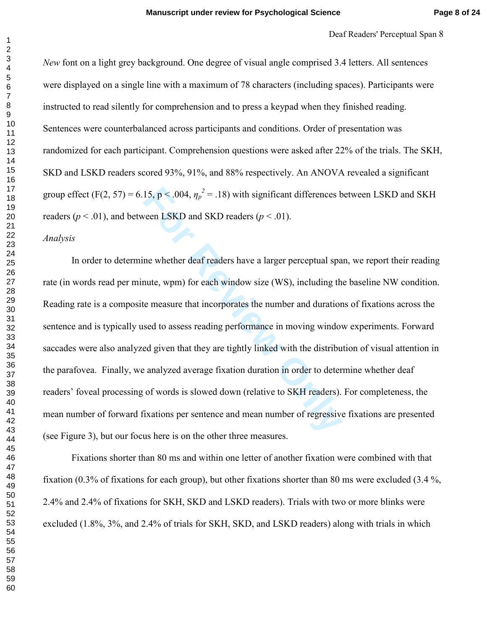$\mathbf 1$ 

Deaf Readers' Perceptual Span 8

*New* font on a light grey background. One degree of visual angle comprised 3.4 letters. All sentences were displayed on a single line with a maximum of 78 characters (including spaces). Participants were instructed to read silently for comprehension and to press a keypad when they finished reading. Sentences were counterbalanced across participants and conditions. Order of presentation was randomized for each participant. Comprehension questions were asked after 22% of the trials. The SKH, SKD and LSKD readers scored 93%, 91%, and 88% respectively. An ANOVA revealed a significant group effect (F(2, 57) = 6.15,  $p < .004$ ,  $\eta_p^2 = .18$ ) with significant differences between LSKD and SKH readers ( $p < .01$ ), and between LSKD and SKD readers ( $p < .01$ ).

*Analysis*

15,  $p < .004$ ,  $\eta_p^2 = .18$ ) with significant differences b<br>veen LSKD and SKD readers ( $p < .01$ ).<br>me whether deaf readers have a larger perceptual spa<br>nute, wpm) for each window size (WS), including th<br>e measure that incorpo In order to determine whether deaf readers have a larger perceptual span, we report their reading rate (in words read per minute, wpm) for each window size (WS), including the baseline NW condition. Reading rate is a composite measure that incorporates the number and durations of fixations across the sentence and is typically used to assess reading performance in moving window experiments. Forward saccades were also analyzed given that they are tightly linked with the distribution of visual attention in the parafovea. Finally, we analyzed average fixation duration in order to determine whether deaf readers' foveal processing of words is slowed down (relative to SKH readers). For completeness, the mean number of forward fixations per sentence and mean number of regressive fixations are presented (see Figure 3), but our focus here is on the other three measures.

Fixations shorter than 80 ms and within one letter of another fixation were combined with that fixation (0.3% of fixations for each group), but other fixations shorter than 80 ms were excluded (3.4 %, 2.4% and 2.4% of fixations for SKH, SKD and LSKD readers). Trials with two or more blinks were excluded (1.8%, 3%, and 2.4% of trials for SKH, SKD, and LSKD readers) along with trials in which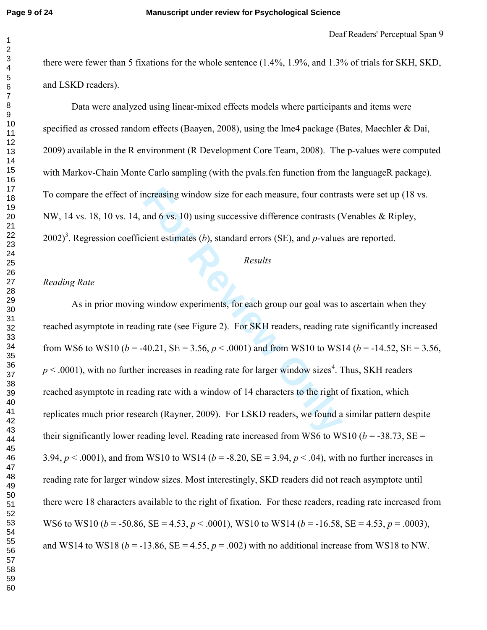there were fewer than 5 fixations for the whole sentence (1.4%, 1.9%, and 1.3% of trials for SKH, SKD, and LSKD readers).

Data were analyzed using linear-mixed effects models where participants and items were specified as crossed random effects (Baayen, 2008), using the lme4 package (Bates, Maechler & Dai, 2009) available in the R environment (R Development Core Team, 2008). The p-values were computed with Markov-Chain Monte Carlo sampling (with the pvals.fcn function from the languageR package). To compare the effect of increasing window size for each measure, four contrasts were set up (18 vs. NW, 14 vs. 18, 10 vs. 14, and 6 vs. 10) using successive difference contrasts (Venables & Ripley,  $(2002)^3$ . Regression coefficient estimates (b), standard errors (SE), and p-values are reported.

#### *Results*

#### *Reading Rate*

ncreasing window size for each measure, four contra<br>and 6 vs. 10) using successive difference contrasts (V<br>ient estimates (b), standard errors (SE), and p-values<br>*Results*<br>ty window experiments, for each group our goal wa As in prior moving window experiments, for each group our goal was to ascertain when they reached asymptote in reading rate (see Figure 2). For SKH readers, reading rate significantly increased from WS6 to WS10 ( $b = -40.21$ , SE = 3.56,  $p < .0001$ ) and from WS10 to WS14 ( $b = -14.52$ , SE = 3.56,  $p < .0001$ ), with no further increases in reading rate for larger window sizes<sup>4</sup>. Thus, SKH readers reached asymptote in reading rate with a window of 14 characters to the right of fixation, which replicates much prior research (Rayner, 2009). For LSKD readers, we found a similar pattern despite their significantly lower reading level. Reading rate increased from WS6 to WS10 ( $b = -38.73$ , SE = 3.94,  $p < .0001$ ), and from WS10 to WS14 ( $b = -8.20$ , SE = 3.94,  $p < .04$ ), with no further increases in reading rate for larger window sizes. Most interestingly, SKD readers did not reach asymptote until there were 18 characters available to the right of fixation. For these readers, reading rate increased from WS6 to WS10 ( $b = -50.86$ , SE = 4.53,  $p < .0001$ ), WS10 to WS14 ( $b = -16.58$ , SE = 4.53,  $p = .0003$ ), and WS14 to WS18 ( $b = -13.86$ , SE = 4.55,  $p = .002$ ) with no additional increase from WS18 to NW.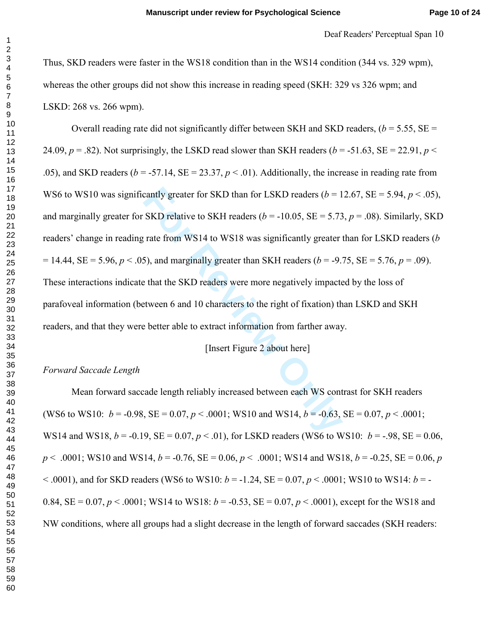Thus, SKD readers were faster in the WS18 condition than in the WS14 condition (344 vs. 329 wpm), whereas the other groups did not show this increase in reading speed (SKH: 329 vs 326 wpm; and LSKD: 268 vs. 266 wpm).

cantly greater for SKD than for LSKD readers ( $b = 1$ <br>
SKD relative to SKH readers ( $b = -10.05$ , SE = 5.73<br>
rate from WS14 to WS18 was significantly greater<br>
5), and marginally greater than SKH readers ( $b = -9$ .<br>
<sup>2</sup> that th Overall reading rate did not significantly differ between SKH and SKD readers,  $(b = 5.55, SE =$ 24.09,  $p = .82$ ). Not surprisingly, the LSKD read slower than SKH readers ( $b = -51.63$ , SE = 22.91,  $p <$ .05), and SKD readers ( $b = -57.14$ , SE = 23.37,  $p < .01$ ). Additionally, the increase in reading rate from WS6 to WS10 was significantly greater for SKD than for LSKD readers  $(b = 12.67, SE = 5.94, p < .05)$ , and marginally greater for SKD relative to SKH readers ( $b = -10.05$ , SE = 5.73,  $p = .08$ ). Similarly, SKD readers' change in reading rate from WS14 to WS18 was significantly greater than for LSKD readers ( *b*  $= 14.44$ , SE = 5.96,  $p < .05$ ), and marginally greater than SKH readers ( $b = .9.75$ , SE = 5.76,  $p = .09$ ). These interactions indicate that the SKD readers were more negatively impacted by the loss of parafoveal information (between 6 and 10 characters to the right of fixation) than LSKD and SKH readers, and that they were better able to extract information from farther away.

[Insert Figure 2 about here]

#### *Forward Saccade Length*

Mean forward saccade length reliably increased between each WS contrast for SKH readers (WS6 to WS10:  $b = -0.98$ , SE = 0.07,  $p < .0001$ ; WS10 and WS14,  $b = -0.63$ , SE = 0.07,  $p < .0001$ ; WS14 and WS18,  $b = -0.19$ , SE = 0.07,  $p < .01$ ), for LSKD readers (WS6 to WS10:  $b = -.98$ , SE = 0.06,  $p$  < .0001; WS10 and WS14,  $b$  = -0.76, SE = 0.06,  $p$  < .0001; WS14 and WS18,  $b$  = -0.25, SE = 0.06,  $p$  $\leq$  .0001), and for SKD readers (WS6 to WS10:  $b = -1.24$ , SE = 0.07,  $p \leq$  .0001; WS10 to WS14:  $b = -1.24$ 0.84,  $SE = 0.07$ ,  $p < .0001$ ; WS14 to WS18:  $b = -0.53$ ,  $SE = 0.07$ ,  $p < .0001$ ), except for the WS18 and NW conditions, where all groups had a slight decrease in the length of forward saccades (SKH readers: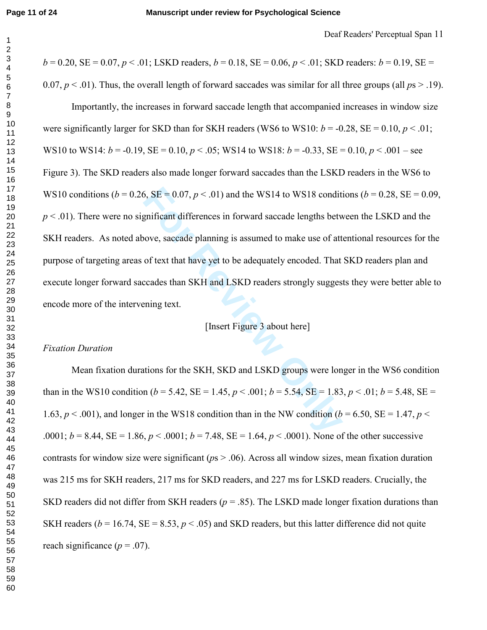$b = 0.20$ , SE = 0.07,  $p < .01$ ; LSKD readers,  $b = 0.18$ , SE = 0.06,  $p < .01$ ; SKD readers:  $b = 0.19$ , SE = 0.07,  $p < 0.01$ ). Thus, the overall length of forward saccades was similar for all three groups (all  $ps > 0.19$ ).

5,  $SE = 0.07, p < .01$  and the WS14 to WS18 condit<br>gnificant differences in forward saccade lengths between<br>ove, saccade planning is assumed to make use of att<br>of text that have yet to be adequately encoded. That<br>ccades than Importantly, the increases in forward saccade length that accompanied increases in window size were significantly larger for SKD than for SKH readers (WS6 to WS10:  $b = -0.28$ , SE = 0.10,  $p < .01$ ; WS10 to WS14:  $b = -0.19$ , SE = 0.10,  $p < .05$ ; WS14 to WS18:  $b = -0.33$ , SE = 0.10,  $p < .001$  – see Figure 3). The SKD readers also made longer forward saccades than the LSKD readers in the WS6 to WS10 conditions ( $b = 0.26$ ,  $SE = 0.07$ ,  $p < .01$ ) and the WS14 to WS18 conditions ( $b = 0.28$ ,  $SE = 0.09$ ,  $p \leq 0.01$ . There were no significant differences in forward saccade lengths between the LSKD and the SKH readers. As noted above, saccade planning is assumed to make use of attentional resources for the purpose of targeting areas of text that have yet to be adequately encoded. That SKD readers plan and execute longer forward saccades than SKH and LSKD readers strongly suggests they were better able to encode more of the intervening text.

[Insert Figure 3 about here]

#### *Fixation Duration*

Mean fixation durations for the SKH, SKD and LSKD groups were longer in the WS6 condition than in the WS10 condition ( $b = 5.42$ ,  $SE = 1.45$ ,  $p < .001$ ;  $b = 5.54$ ,  $SE = 1.83$ ,  $p < .01$ ;  $b = 5.48$ ,  $SE = 1.83$ ,  $p < .01$ ;  $b = .01$ ;  $b = .01$ ;  $b = .01$ ;  $b = .01$ ;  $b = .01$ ;  $b = .01$ ;  $b = .01$ ;  $b = .01$ ;  $b = .01$ ;  $b = .01$ ;  $b = .01$ ; 1.63,  $p < .001$ ), and longer in the WS18 condition than in the NW condition ( $b = 6.50$ , SE = 1.47,  $p <$ .0001;  $b = 8.44$ , SE = 1.86,  $p < .0001$ ;  $b = 7.48$ , SE = 1.64,  $p < .0001$ ). None of the other successive contrasts for window size were significant (*p*s > .06). Across all window sizes, mean fixation duration was 215 ms for SKH readers, 217 ms for SKD readers, and 227 ms for LSKD readers. Crucially, the SKD readers did not differ from SKH readers (*p* = .85). The LSKD made longer fixation durations than SKH readers ( $b = 16.74$ , SE = 8.53,  $p < .05$ ) and SKD readers, but this latter difference did not quite reach significance  $(p = .07)$ .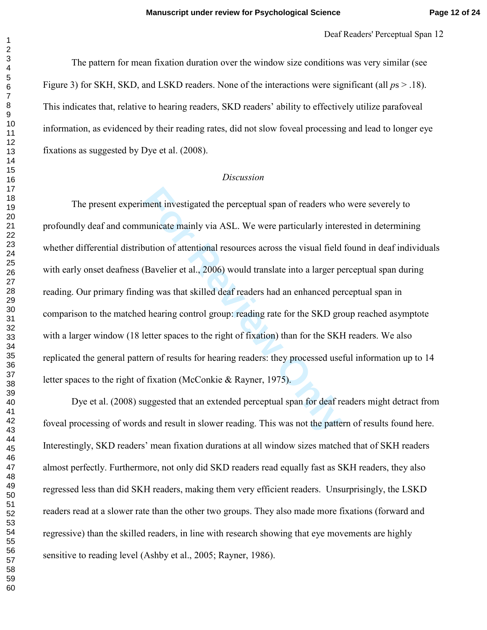Deaf Readers' Perceptual Span 12

The pattern for mean fixation duration over the window size conditions was very similar (see Figure 3) for SKH, SKD, and LSKD readers. None of the interactions were significant (all *p*s > .18). This indicates that, relative to hearing readers, SKD readers' ability to effectively utilize parafoveal information, as evidenced by their reading rates, did not slow foveal processing and lead to longer eye fixations as suggested by Dye et al. (2008).

#### *Discussion*

ment investigated the perceptual span of readers who<br>nunicate mainly via ASL. We were particularly inter<br>pution of attentional resources across the visual field<br>Bavelier et al., 2006) would translate into a larger por<br>ng w The present experiment investigated the perceptual span of readers who were severely to profoundly deaf and communicate mainly via ASL. We were particularly interested in determining whether differential distribution of attentional resources across the visual field found in deaf individuals with early onset deafness (Bavelier et al., 2006) would translate into a larger perceptual span during reading. Our primary finding was that skilled deaf readers had an enhanced perceptual span in comparison to the matched hearing control group: reading rate for the SKD group reached asymptote with a larger window (18 letter spaces to the right of fixation) than for the SKH readers. We also replicated the general pattern of results for hearing readers: they processed useful information up to 14 letter spaces to the right of fixation (McConkie & Rayner, 1975).

Dye et al. (2008) suggested that an extended perceptual span for deaf readers might detract from foveal processing of words and result in slower reading. This was not the pattern of results found here. Interestingly, SKD readers' mean fixation durations at all window sizes matched that of SKH readers almost perfectly. Furthermore, not only did SKD readers read equally fast as SKH readers, they also regressed less than did SKH readers, making them very efficient readers. Unsurprisingly, the LSKD readers read at a slower rate than the other two groups. They also made more fixations (forward and regressive) than the skilled readers, in line with research showing that eye movements are highly sensitive to reading level (Ashby et al., 2005; Rayner, 1986).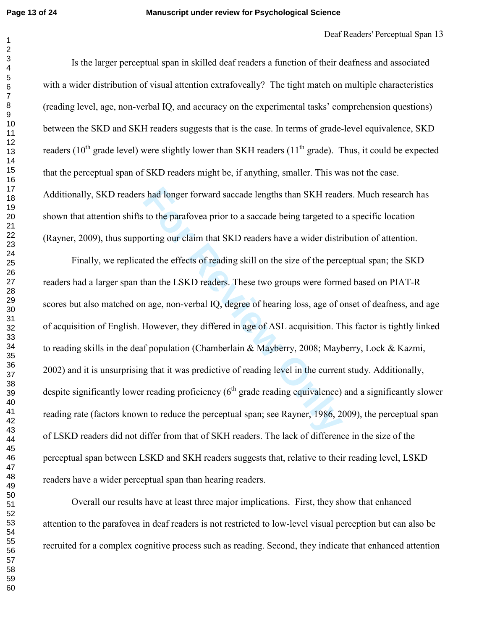$\mathbf 1$  $\overline{2}$ 

Is the larger perceptual span in skilled deaf readers a function of their deafness and associated with a wider distribution of visual attention extrafoveally? The tight match on multiple characteristics (reading level, age, non-verbal IQ, and accuracy on the experimental tasks' comprehension questions) between the SKD and SKH readers suggests that is the case. In terms of grade-level equivalence, SKD readers ( $10^{th}$  grade level) were slightly lower than SKH readers ( $11^{th}$  grade). Thus, it could be expected that the perceptual span of SKD readers might be, if anything, smaller. This was not the case. Additionally, SKD readers had longer forward saccade lengths than SKH readers. Much research has shown that attention shifts to the parafovea prior to a saccade being targeted to a specific location (Rayner, 2009), thus supporting our claim that SKD readers have a wider distribution of attention.

**Follow Exercise 2018 Solution** SKH reades to the parafovea prior to a saccade being targeted to orting our claim that SKD readers have a wider distributed the effects of reading skill on the size of the perception the LSK Finally, we replicated the effects of reading skill on the size of the perceptual span; the SKD readers had a larger span than the LSKD readers. These two groups were formed based on PIAT-R scores but also matched on age, non-verbal IQ, degree of hearing loss, age of onset of deafness, and age of acquisition of English. However, they differed in age of ASL acquisition. This factor is tightly linked to reading skills in the deaf population (Chamberlain & Mayberry, 2008; Mayberry, Lock & Kazmi, 2002) and it is unsurprising that it was predictive of reading level in the current study. Additionally, despite significantly lower reading proficiency  $(6<sup>th</sup>$  grade reading equivalence) and a significantly slower reading rate (factors known to reduce the perceptual span; see Rayner, 1986, 2009), the perceptual span of LSKD readers did not differ from that of SKH readers. The lack of difference in the size of the perceptual span between LSKD and SKH readers suggests that, relative to their reading level, LSKD readers have a wider perceptual span than hearing readers.

Overall our results have at least three major implications. First, they show that enhanced attention to the parafovea in deaf readers is not restricted to low-level visual perception but can also be recruited for a complex cognitive process such as reading. Second, they indicate that enhanced attention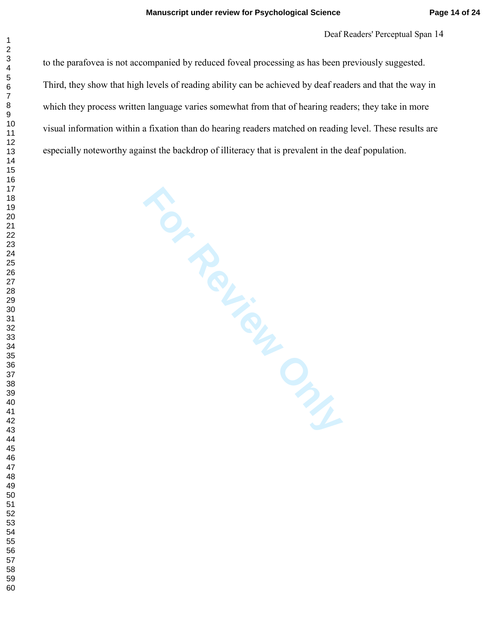Deaf Readers' Perceptual Span 14

to the parafovea is not accompanied by reduced foveal processing as has been previously suggested. Third, they show that high levels of reading ability can be achieved by deaf readers and that the way in which they process written language varies somewhat from that of hearing readers; they take in more visual information within a fixation than do hearing readers matched on reading level. These results are especially noteworthy against the backdrop of illiteracy that is prevalent in the deaf population.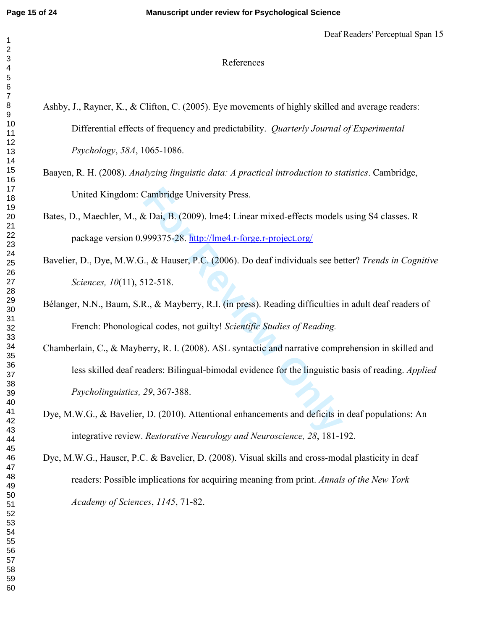$\mathbf 1$  $\overline{2}$ 

# References

Ashby, J., Rayner, K., & Clifton, C. (2005). Eye movements of highly skilled and average readers: Differential effects of frequency and predictability. *Quarterly Journal of Experimental Psychology*, *58A*, 1065-1086.

Baayen, R. H. (2008). *Analyzing linguistic data: A practical introduction to statistics*. Cambridge, United Kingdom: Cambridge University Press.

Bates, D., Maechler, M., & Dai, B. (2009). lme4: Linear mixed-effects models using S4 classes. R package version 0.999375-28. http://lme4.r-forge.r-project.org/

- Bavelier, D., Dye, M.W.G., & Hauser, P.C. (2006). Do deaf individuals see better? *Trends in Cognitive Sciences, 10*(11), 512-518.
- Bélanger, N.N., Baum, S.R., & Mayberry, R.I. (in press). Reading difficulties in adult deaf readers of French: Phonological codes, not guilty! *Scientific Studies of Reading.*
- Cambridge University Press.<br> *E* Dai, B. (2009). Ime4: Linear mixed-effects models<br>
999375-28. http://Ime4.r-forge.r-project.org/<br>
.., & Hauser, P.C. (2006). Do deaf individuals see be<br>
12-518.<br>
R., & Mayberry, R.I. (in pr Chamberlain, C., & Mayberry, R. I. (2008). ASL syntactic and narrative comprehension in skilled and less skilled deaf readers: Bilingual-bimodal evidence for the linguistic basis of reading. *Applied Psycholinguistics, 29*, 367-388.

Dye, M.W.G., & Bavelier, D. (2010). Attentional enhancements and deficits in deaf populations: An integrative review. *Restorative Neurology and Neuroscience, 28*, 181-192.

Dye, M.W.G., Hauser, P.C. & Bavelier, D. (2008). Visual skills and cross-modal plasticity in deaf readers: Possible implications for acquiring meaning from print. *Annals of the New York Academy of Sciences*, *1145*, 71-82.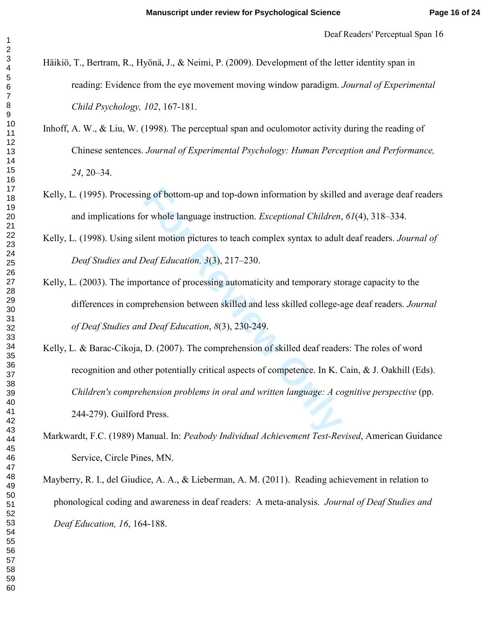- Häikiö, T., Bertram, R., Hyönä, J., & Neimi, P. (2009). Development of the letter identity span in reading: Evidence from the eye movement moving window paradigm. *Journal of Experimental Child Psychology, 102*, 167-181.
- Inhoff, A. W., & Liu, W. (1998). The perceptual span and oculomotor activity during the reading of Chinese sentences. *Journal of Experimental Psychology: Human Perception and Performance,*  , 20–34.
- Kelly, L. (1995). Processing of bottom-up and top-down information by skilled and average deaf readers and implications for whole language instruction. *Exceptional Children*, *61*(4), 318–334.
- Kelly, L. (1998). Using silent motion pictures to teach complex syntax to adult deaf readers. *Journal of Deaf Studies and Deaf Education, 3*(3), 217–230.
- Kelly, L. (2003). The importance of processing automaticity and temporary storage capacity to the differences in comprehension between skilled and less skilled college-age deaf readers. *Journal of Deaf Studies and Deaf Education*, *8*(3), 230-249.
- In the payon of bottom-up and top-down information by skilled<br>
For whole language instruction. *Exceptional Children*,<br>
ent motion pictures to teach complex syntax to adult<br>
Deaf Education, 3(3), 217–230.<br>
Syntance of proc Kelly, L. & Barac-Cikoja, D. (2007). The comprehension of skilled deaf readers: The roles of word recognition and other potentially critical aspects of competence. In K. Cain, & J. Oakhill (Eds). *Children's comprehension problems in oral and written language: A cognitive perspective* (pp. 244-279). Guilford Press.
- Markwardt, F.C. (1989) Manual. In: *Peabody Individual Achievement Test-Revised*, American Guidance Service, Circle Pines, MN.

Mayberry, R. I., del Giudice, A. A., & Lieberman, A. M. (2011). Reading achievement in relation to phonological coding and awareness in deaf readers: A meta-analysis. *Journal of Deaf Studies and Deaf Education, 16*, 164-188.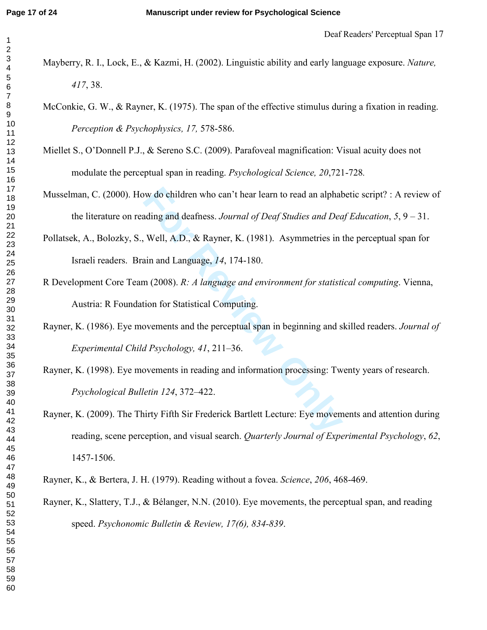- Mayberry, R. I., Lock, E., & Kazmi, H. (2002). Linguistic ability and early language exposure. *Nature,*  , 38.
- McConkie, G. W., & Rayner, K. (1975). The span of the effective stimulus during a fixation in reading. *Perception & Psychophysics, 17,* 578-586.
- Miellet S., O'Donnell P.J., & Sereno S.C. (2009). Parafoveal magnification: Visual acuity does not modulate the perceptual span in reading. *Psychological Science, 20*,721-728*.*
- Musselman, C. (2000). How do children who can't hear learn to read an alphabetic script? : A review of the literature on reading and deafness. *Journal of Deaf Studies and Deaf Education*, *5*, 9 – 31.
- Pollatsek, A., Bolozky, S., Well, A.D., & Rayner, K. (1981). Asymmetries in the perceptual span for Israeli readers. Brain and Language, *14*, 174-180.
- w do children who can't hear learn to read an alphat<br>ading and deafness. *Journal of Deaf Studies and Dea*<br>Well, A.D., & Rayner, K. (1981). Asymmetries in<br>ain and Language, 14, 174-180.<br>m (2008). *R: A language and environ* R Development Core Team (2008). *R: A language and environment for statistical computing*. Vienna, Austria: R Foundation for Statistical Computing.
- Rayner, K. (1986). Eye movements and the perceptual span in beginning and skilled readers. *Journal of Experimental Child Psychology, 41*, 211–36.
- Rayner, K. (1998). Eye movements in reading and information processing: Twenty years of research. *Psychological Bulletin 124*, 372–422.
- Rayner, K. (2009). The Thirty Fifth Sir Frederick Bartlett Lecture: Eye movements and attention during reading, scene perception, and visual search. *Quarterly Journal of Experimental Psychology*, *62*, 1457-1506.

Rayner, K., & Bertera, J. H. (1979). Reading without a fovea. *Science*, *206*, 468-469.

Rayner, K., Slattery, T.J., & Bélanger, N.N. (2010). Eye movements, the perceptual span, and reading speed. *Psychonomic Bulletin & Review, 17(6), 834-839*.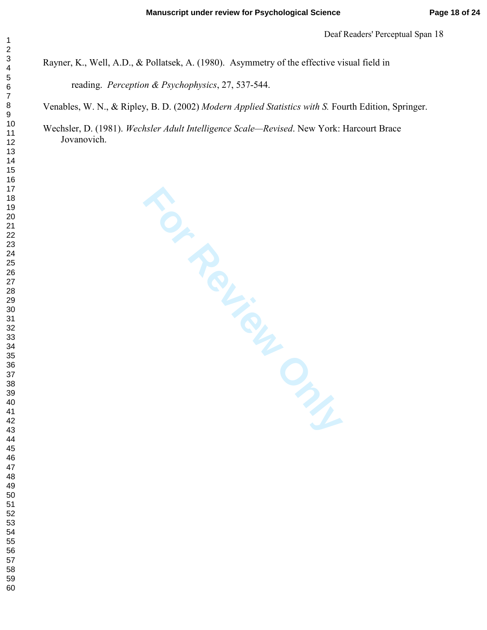# Rayner, K., Well, A.D., & Pollatsek, A. (1980). Asymmetry of the effective visual field in reading. *Perception & Psychophysics*, 27, 537-544.

Venables, W. N., & Ripley, B. D. (2002) *Modern Applied Statistics with S.* Fourth Edition, Springer.

Wechsler, D. (1981). *Wechsler Adult Intelligence Scale—Revised*. New York: Harcourt Brace Jovanovich.

sdern.4.<br> *For Review Scale*<br>
For Review Consumed States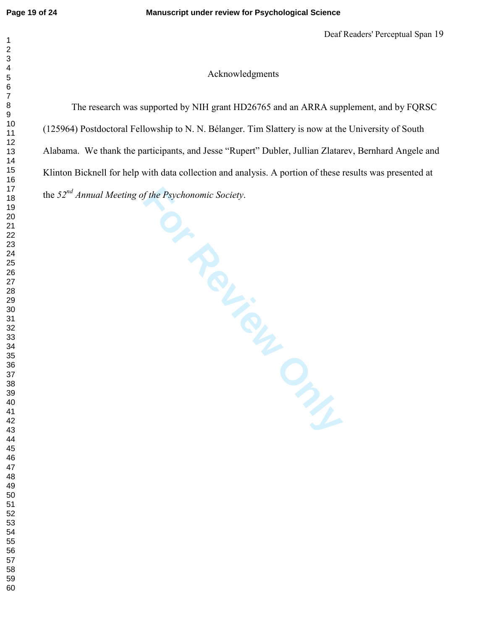# Acknowledgments

The research was supported by NIH grant HD26765 and an ARRA supplement, and by FQRSC (125964) Postdoctoral Fellowship to N. N. Bélanger. Tim Slattery is now at the University of South Alabama. We thank the participants, and Jesse "Rupert" Dubler, Jullian Zlatarev, Bernhard Angele and Klinton Bicknell for help with data collection and analysis. A portion of these results was presented at the *52nd Annual Meeting of the Psychonomic Society*.

panis,<br>
1 data collection.<br>
the Psychonomic Society.<br>
O<sub>F</sup>RECOURCES</sub>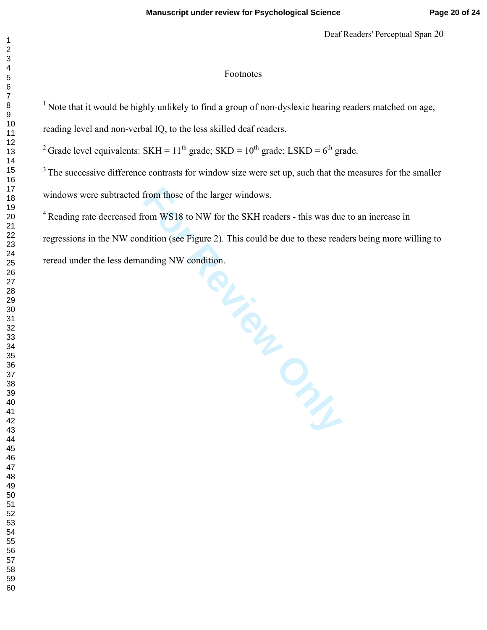Deaf Readers' Perceptual Span 20

#### Footnotes

<sup>1</sup> Note that it would be highly unlikely to find a group of non-dyslexic hearing readers matched on age,

reading level and non-verbal IQ, to the less skilled deaf readers.

<sup>2</sup> Grade level equivalents: SKH =  $11^{th}$  grade; SKD =  $10^{th}$  grade; LSKD =  $6^{th}$  grade.

 $3<sup>3</sup>$  The successive difference contrasts for window size were set up, such that the measures for the smaller windows were subtracted from those of the larger windows.

<sup>4</sup> Reading rate decreased from WS18 to NW for the SKH readers - this was due to an increase in

regressions in the NW condition (see Figure 2). This could be due to these readers being more willing to reread under the less demanding NW condition.

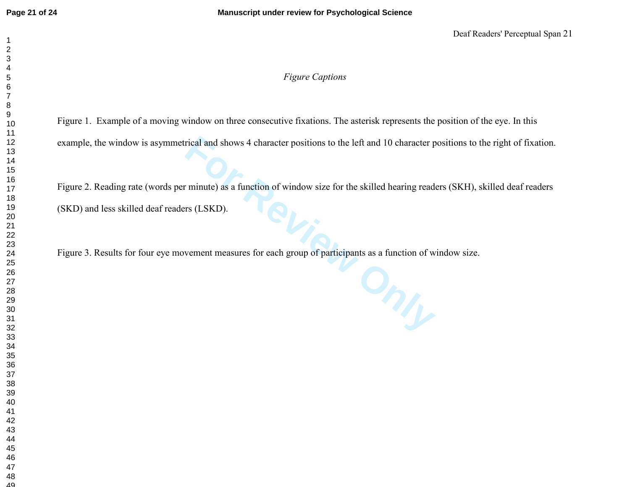# *Figure Captions*

Figure 1. Example of a moving window on three consecutive fixations. The asterisk represents the position of the eye. In this

example, the window is asymmetrical and shows 4 character positions to the left and 10 character positions to the right of fixation.

Figure 2. Reading rate (words per minute) as a function of window size for the skilled hearing readers (SKH), skilled deaf readers

(SKD) and less skilled deaf readers (LSKD).

**For Review of participants as a function of wire and group of participants as a function of wire and the contract of the contract of**  $\theta$  **or**  $\theta$  **or**  $\theta$  **or**  $\theta$  **or**  $\theta$  **or**  $\theta$  **or**  $\theta$  **or**  $\theta$  **or**  $\theta$  **or**  $\theta$  **or**  $\theta$  **or** Figure 3. Results for four eye movement measures for each group of participants as a function of window size.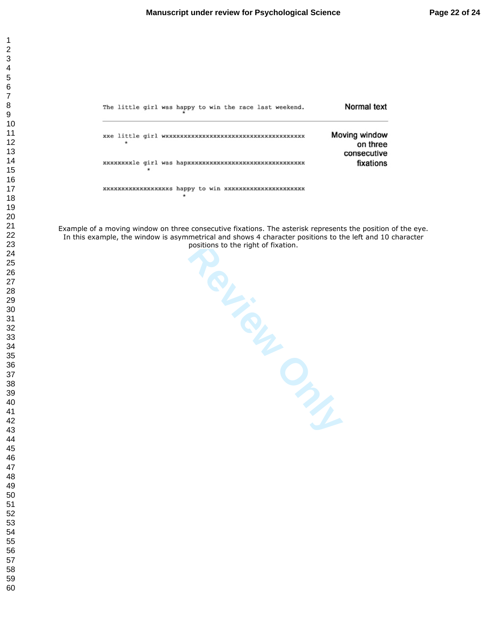| 1                    |  |
|----------------------|--|
| $\overline{c}$       |  |
|                      |  |
|                      |  |
|                      |  |
|                      |  |
|                      |  |
|                      |  |
|                      |  |
|                      |  |
|                      |  |
|                      |  |
|                      |  |
|                      |  |
|                      |  |
|                      |  |
|                      |  |
|                      |  |
|                      |  |
|                      |  |
|                      |  |
|                      |  |
|                      |  |
|                      |  |
|                      |  |
|                      |  |
|                      |  |
|                      |  |
|                      |  |
|                      |  |
|                      |  |
|                      |  |
|                      |  |
|                      |  |
|                      |  |
|                      |  |
|                      |  |
|                      |  |
|                      |  |
|                      |  |
|                      |  |
|                      |  |
|                      |  |
|                      |  |
|                      |  |
| $^{40}$              |  |
| $\ddagger$<br>1      |  |
| $\overline{4}$       |  |
| 4:                   |  |
| 44                   |  |
|                      |  |
| 45                   |  |
| 46                   |  |
| $\overline{47}$      |  |
| 48                   |  |
| 49                   |  |
| 50                   |  |
|                      |  |
| $\mathbf{51}$<br>Į   |  |
| 52                   |  |
| 5.<br>ξ              |  |
| $\overline{5}4$<br>Į |  |
| 55                   |  |
| 56<br>ć              |  |
| 57                   |  |
| $\mathfrak{c}$       |  |
|                      |  |
| 58<br>59             |  |

| Normal text               | The little girl was happy to win the race last weekend.     |   |
|---------------------------|-------------------------------------------------------------|---|
| Moving window<br>on three |                                                             | ÷ |
| consecutive<br>fixations  | xxxxxxxxle girl was hapxxxxxxxxxxxxxxxxxxxxxxxxxxxxxxx<br>÷ |   |
|                           |                                                             |   |

**EXALURE AN EXAMPLE SERVER AN EXAMPLE SERVER AN EXAMPLE SERVER AN EXAMPLE SERVER AN EXAMPLE SERVER AND THE SERVER SERVER SERVER SERVER SERVER SERVER SERVER SERVER SERVER SERVER SERVER SERVER SERVER SERVER SERVER SERVER SER** Example of a moving window on three consecutive fixations. The asterisk represents the position of the eye. In this example, the window is asymmetrical and shows 4 character positions to the left and 10 character positions to the right of fixation.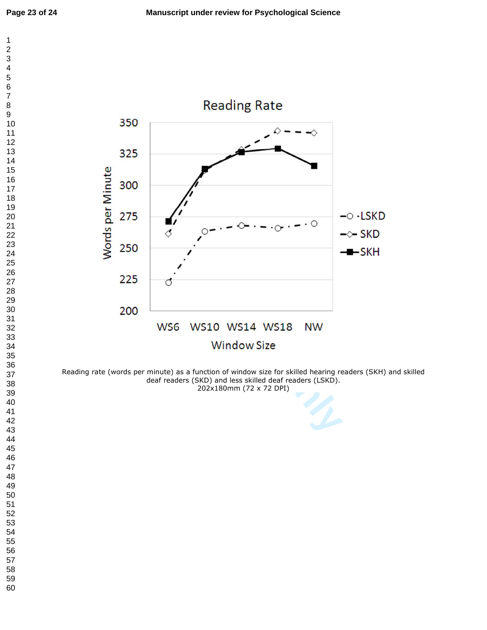

Reading rate (words per minute) as a function of window size for skilled hearing readers (SKH) and skilled deaf readers (SKD) and less skilled deaf readers (LSKD). 202x180mm (72 x 72 DPI)